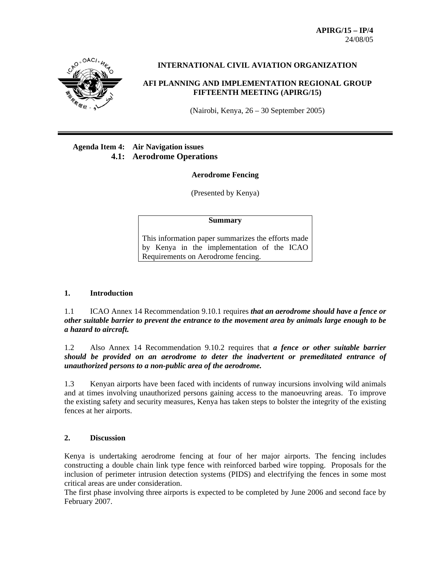**APIRG/15 – IP/4**  24/08/05



# **INTERNATIONAL CIVIL AVIATION ORGANIZATION**

### **AFI PLANNING AND IMPLEMENTATION REGIONAL GROUP FIFTEENTH MEETING (APIRG/15)**

(Nairobi, Kenya, 26 – 30 September 2005)

# **Agenda Item 4: Air Navigation issues 4.1: Aerodrome Operations**

#### **Aerodrome Fencing**

(Presented by Kenya)

#### **Summary**

This information paper summarizes the efforts made by Kenya in the implementation of the ICAO Requirements on Aerodrome fencing.

#### **1. Introduction**

1.1 ICAO Annex 14 Recommendation 9.10.1 requires *that an aerodrome should have a fence or other suitable barrier to prevent the entrance to the movement area by animals large enough to be a hazard to aircraft.* 

1.2 Also Annex 14 Recommendation 9.10.2 requires that *a fence or other suitable barrier should be provided on an aerodrome to deter the inadvertent or premeditated entrance of unauthorized persons to a non-public area of the aerodrome.* 

1.3 Kenyan airports have been faced with incidents of runway incursions involving wild animals and at times involving unauthorized persons gaining access to the manoeuvring areas. To improve the existing safety and security measures, Kenya has taken steps to bolster the integrity of the existing fences at her airports.

# **2. Discussion**

Kenya is undertaking aerodrome fencing at four of her major airports. The fencing includes constructing a double chain link type fence with reinforced barbed wire topping. Proposals for the inclusion of perimeter intrusion detection systems (PIDS) and electrifying the fences in some most critical areas are under consideration.

The first phase involving three airports is expected to be completed by June 2006 and second face by February 2007.